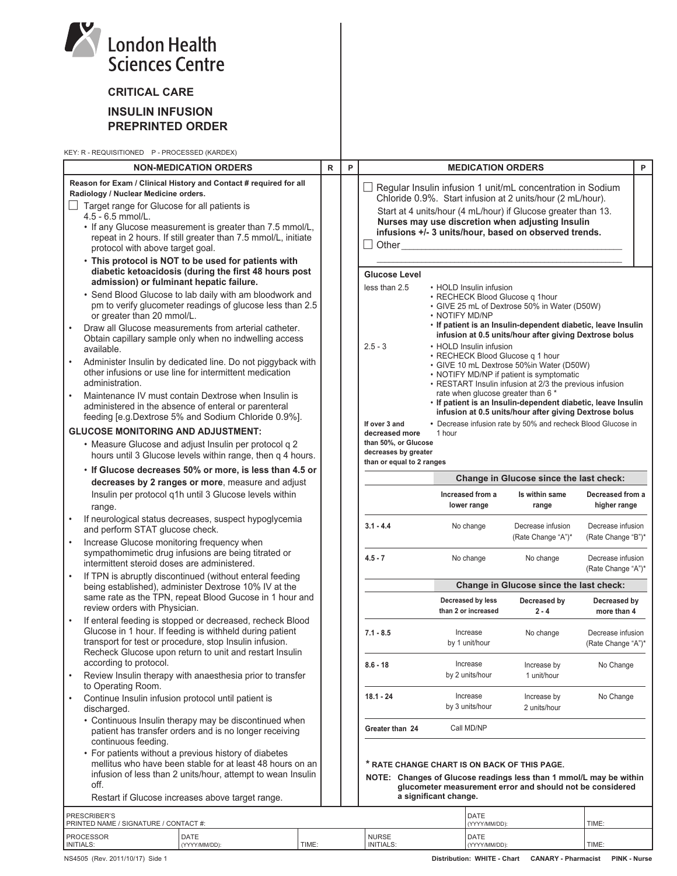|           | <b>London Health</b><br><b>Sciences Centre</b>                                                                                                                                                                                                                                                                                                                                                           |             |   |                                                                                                                                                                                     |                       |                                          |                                                                                                                                                                                                                                                                                                        |                                         |   |
|-----------|----------------------------------------------------------------------------------------------------------------------------------------------------------------------------------------------------------------------------------------------------------------------------------------------------------------------------------------------------------------------------------------------------------|-------------|---|-------------------------------------------------------------------------------------------------------------------------------------------------------------------------------------|-----------------------|------------------------------------------|--------------------------------------------------------------------------------------------------------------------------------------------------------------------------------------------------------------------------------------------------------------------------------------------------------|-----------------------------------------|---|
|           | <b>CRITICAL CARE</b>                                                                                                                                                                                                                                                                                                                                                                                     |             |   |                                                                                                                                                                                     |                       |                                          |                                                                                                                                                                                                                                                                                                        |                                         |   |
|           | <b>INSULIN INFUSION</b><br><b>PREPRINTED ORDER</b>                                                                                                                                                                                                                                                                                                                                                       |             |   |                                                                                                                                                                                     |                       |                                          |                                                                                                                                                                                                                                                                                                        |                                         |   |
|           | KEY: R - REQUISITIONED P - PROCESSED (KARDEX)                                                                                                                                                                                                                                                                                                                                                            |             |   |                                                                                                                                                                                     |                       |                                          |                                                                                                                                                                                                                                                                                                        |                                         |   |
|           | <b>NON-MEDICATION ORDERS</b>                                                                                                                                                                                                                                                                                                                                                                             | $\mathsf R$ | P |                                                                                                                                                                                     |                       | <b>MEDICATION ORDERS</b>                 |                                                                                                                                                                                                                                                                                                        |                                         | P |
|           | Reason for Exam / Clinical History and Contact # required for all<br>Radiology / Nuclear Medicine orders.<br>Target range for Glucose for all patients is<br>$4.5 - 6.5$ mmol/L.<br>• If any Glucose measurement is greater than 7.5 mmol/L,<br>repeat in 2 hours. If still greater than 7.5 mmol/L, initiate<br>protocol with above target goal.<br>• This protocol is NOT to be used for patients with |             |   | Other                                                                                                                                                                               |                       |                                          | Regular Insulin infusion 1 unit/mL concentration in Sodium<br>Chloride 0.9%. Start infusion at 2 units/hour (2 mL/hour).<br>Start at 4 units/hour (4 mL/hour) if Glucose greater than 13.<br>Nurses may use discretion when adjusting Insulin<br>infusions +/- 3 units/hour, based on observed trends. |                                         |   |
|           | diabetic ketoacidosis (during the first 48 hours post                                                                                                                                                                                                                                                                                                                                                    |             |   | <b>Glucose Level</b>                                                                                                                                                                |                       |                                          |                                                                                                                                                                                                                                                                                                        |                                         |   |
|           | admission) or fulminant hepatic failure.<br>• Send Blood Glucose to lab daily with am bloodwork and<br>pm to verify glucometer readings of glucose less than 2.5<br>or greater than 20 mmol/L.                                                                                                                                                                                                           |             |   | less than 2.5                                                                                                                                                                       | • NOTIFY MD/NP        | • HOLD Insulin infusion                  | • RECHECK Blood Glucose q 1hour<br>• GIVE 25 mL of Dextrose 50% in Water (D50W)<br>. If patient is an Insulin-dependent diabetic, leave Insulin                                                                                                                                                        |                                         |   |
|           | Draw all Glucose measurements from arterial catheter.<br>Obtain capillary sample only when no indwelling access<br>available.                                                                                                                                                                                                                                                                            |             |   | $2.5 - 3$                                                                                                                                                                           |                       | • HOLD Insulin infusion                  | infusion at 0.5 units/hour after giving Dextrose bolus                                                                                                                                                                                                                                                 |                                         |   |
| $\bullet$ | Administer Insulin by dedicated line. Do not piggyback with<br>other infusions or use line for intermittent medication<br>administration.                                                                                                                                                                                                                                                                |             |   | • RECHECK Blood Glucose q 1 hour<br>• GIVE 10 mL Dextrose 50%in Water (D50W)<br>• NOTIFY MD/NP if patient is symptomatic<br>• RESTART Insulin infusion at 2/3 the previous infusion |                       |                                          |                                                                                                                                                                                                                                                                                                        |                                         |   |
| $\bullet$ | Maintenance IV must contain Dextrose when Insulin is<br>administered in the absence of enteral or parenteral<br>feeding [e.g.Dextrose 5% and Sodium Chloride 0.9%].                                                                                                                                                                                                                                      |             |   |                                                                                                                                                                                     |                       |                                          | rate when glucose greater than 6 *<br>. If patient is an Insulin-dependent diabetic, leave Insulin<br>infusion at 0.5 units/hour after giving Dextrose bolus                                                                                                                                           |                                         |   |
|           | <b>GLUCOSE MONITORING AND ADJUSTMENT:</b>                                                                                                                                                                                                                                                                                                                                                                |             |   | If over 3 and<br>decreased more                                                                                                                                                     | 1 hour                |                                          | • Decrease infusion rate by 50% and recheck Blood Glucose in                                                                                                                                                                                                                                           |                                         |   |
|           | • Measure Glucose and adjust Insulin per protocol q 2<br>hours until 3 Glucose levels within range, then q 4 hours.                                                                                                                                                                                                                                                                                      |             |   | than 50%, or Glucose<br>decreases by greater<br>than or equal to 2 ranges                                                                                                           |                       |                                          |                                                                                                                                                                                                                                                                                                        |                                         |   |
|           | • If Glucose decreases 50% or more, is less than 4.5 or<br>decreases by 2 ranges or more, measure and adjust                                                                                                                                                                                                                                                                                             |             |   |                                                                                                                                                                                     |                       |                                          | Change in Glucose since the last check:                                                                                                                                                                                                                                                                |                                         |   |
|           | Insulin per protocol q1h until 3 Glucose levels within<br>range.                                                                                                                                                                                                                                                                                                                                         |             |   |                                                                                                                                                                                     |                       | Increased from a<br>lower range          | Is within same<br>range                                                                                                                                                                                                                                                                                | Decreased from a<br>higher range        |   |
| $\bullet$ | If neurological status decreases, suspect hypoglycemia<br>and perform STAT glucose check.<br>Increase Glucose monitoring frequency when                                                                                                                                                                                                                                                                  |             |   | $3.1 - 4.4$                                                                                                                                                                         |                       | No change                                | Decrease infusion<br>(Rate Change "A")*                                                                                                                                                                                                                                                                | Decrease infusion<br>(Rate Change "B")* |   |
| $\bullet$ | sympathomimetic drug infusions are being titrated or<br>intermittent steroid doses are administered.<br>If TPN is abruptly discontinued (without enteral feeding                                                                                                                                                                                                                                         |             |   | $4.5 - 7$                                                                                                                                                                           |                       | No change                                | No change                                                                                                                                                                                                                                                                                              | Decrease infusion<br>(Rate Change "A")* |   |
|           | being established), administer Dextrose 10% IV at the                                                                                                                                                                                                                                                                                                                                                    |             |   |                                                                                                                                                                                     |                       |                                          | Change in Glucose since the last check:                                                                                                                                                                                                                                                                |                                         |   |
| $\bullet$ | same rate as the TPN, repeat Blood Gucose in 1 hour and<br>review orders with Physician.<br>If enteral feeding is stopped or decreased, recheck Blood                                                                                                                                                                                                                                                    |             |   |                                                                                                                                                                                     |                       | Decreased by less<br>than 2 or increased | Decreased by<br>$2 - 4$                                                                                                                                                                                                                                                                                | Decreased by<br>more than 4             |   |
|           | Glucose in 1 hour. If feeding is withheld during patient<br>transport for test or procedure, stop Insulin infusion.<br>Recheck Glucose upon return to unit and restart Insulin                                                                                                                                                                                                                           |             |   | $7.1 - 8.5$                                                                                                                                                                         |                       | Increase<br>by 1 unit/hour               | No change                                                                                                                                                                                                                                                                                              | Decrease infusion<br>(Rate Change "A")* |   |
| $\bullet$ | according to protocol.<br>Review Insulin therapy with anaesthesia prior to transfer<br>to Operating Room.                                                                                                                                                                                                                                                                                                |             |   | $8.6 - 18$                                                                                                                                                                          |                       | Increase<br>by 2 units/hour              | Increase by<br>1 unit/hour                                                                                                                                                                                                                                                                             | No Change                               |   |
|           | Continue Insulin infusion protocol until patient is<br>discharged.                                                                                                                                                                                                                                                                                                                                       |             |   | $18.1 - 24$                                                                                                                                                                         |                       | Increase<br>by 3 units/hour              | Increase by<br>2 units/hour                                                                                                                                                                                                                                                                            | No Change                               |   |
|           | • Continuous Insulin therapy may be discontinued when<br>patient has transfer orders and is no longer receiving<br>continuous feeding.                                                                                                                                                                                                                                                                   |             |   | Greater than 24                                                                                                                                                                     |                       | Call MD/NP                               |                                                                                                                                                                                                                                                                                                        |                                         |   |
|           | • For patients without a previous history of diabetes<br>mellitus who have been stable for at least 48 hours on an<br>infusion of less than 2 units/hour, attempt to wean Insulin<br>off.<br>Restart if Glucose increases above target range.                                                                                                                                                            |             |   | * RATE CHANGE CHART IS ON BACK OF THIS PAGE.                                                                                                                                        | a significant change. |                                          | NOTE: Changes of Glucose readings less than 1 mmol/L may be within<br>glucometer measurement error and should not be considered                                                                                                                                                                        |                                         |   |
|           | PRESCRIBER'S<br>PRINTED NAME / SIGNATURE / CONTACT #:                                                                                                                                                                                                                                                                                                                                                    |             |   |                                                                                                                                                                                     |                       | DATE<br>(YYYY/MM/DD):                    |                                                                                                                                                                                                                                                                                                        | TIME:                                   |   |

NURSE INITIALS:

DATE TIME: (YYYY/MM/DD):

| NS4505 (Rev. 2011/10/17) Side |  |  |  |
|-------------------------------|--|--|--|
|                               |  |  |  |

PROCESSOR INITIALS:

DATE (YYYY/MM/DD):

TIME: